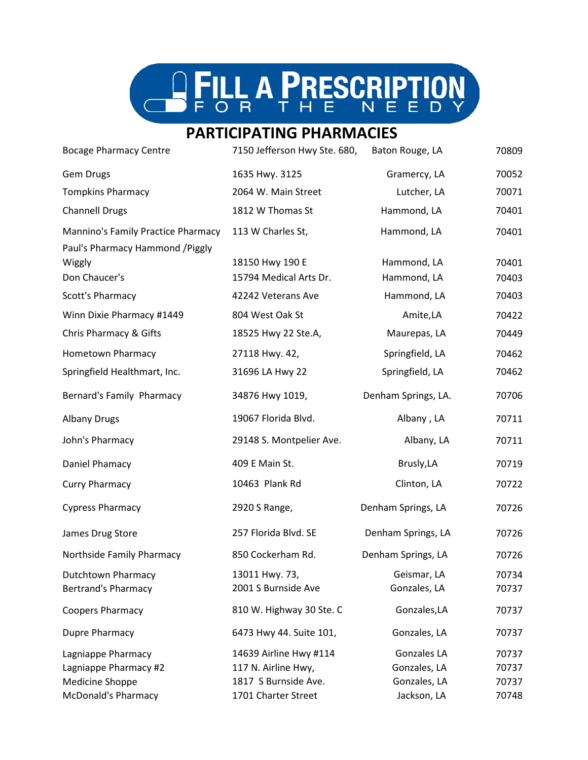

## **PARTICIPATING PHARMACIES**

| <b>Bocage Pharmacy Centre</b>      | 7150 Jefferson Hwy Ste. 680, | Baton Rouge, LA     | 70809 |
|------------------------------------|------------------------------|---------------------|-------|
| Gem Drugs                          | 1635 Hwy. 3125               | Gramercy, LA        | 70052 |
| <b>Tompkins Pharmacy</b>           | 2064 W. Main Street          | Lutcher, LA         | 70071 |
| <b>Channell Drugs</b>              | 1812 W Thomas St             | Hammond, LA         | 70401 |
| Mannino's Family Practice Pharmacy | 113 W Charles St,            | Hammond, LA         | 70401 |
| Paul's Pharmacy Hammond / Piggly   |                              |                     |       |
| Wiggly                             | 18150 Hwy 190 E              | Hammond, LA         | 70401 |
| Don Chaucer's                      | 15794 Medical Arts Dr.       | Hammond, LA         | 70403 |
| Scott's Pharmacy                   | 42242 Veterans Ave           | Hammond, LA         | 70403 |
| Winn Dixie Pharmacy #1449          | 804 West Oak St              | Amite, LA           | 70422 |
| Chris Pharmacy & Gifts             | 18525 Hwy 22 Ste.A,          | Maurepas, LA        | 70449 |
| Hometown Pharmacy                  | 27118 Hwy. 42,               | Springfield, LA     | 70462 |
| Springfield Healthmart, Inc.       | 31696 LA Hwy 22              | Springfield, LA     | 70462 |
| Bernard's Family Pharmacy          | 34876 Hwy 1019,              | Denham Springs, LA. | 70706 |
| <b>Albany Drugs</b>                | 19067 Florida Blvd.          | Albany, LA          | 70711 |
| John's Pharmacy                    | 29148 S. Montpelier Ave.     | Albany, LA          | 70711 |
| Daniel Phamacy                     | 409 E Main St.               | Brusly, LA          | 70719 |
| <b>Curry Pharmacy</b>              | 10463 Plank Rd               | Clinton, LA         | 70722 |
| <b>Cypress Pharmacy</b>            | 2920 S Range,                | Denham Springs, LA  | 70726 |
| James Drug Store                   | 257 Florida Blvd. SE         | Denham Springs, LA  | 70726 |
| Northside Family Pharmacy          | 850 Cockerham Rd.            | Denham Springs, LA  | 70726 |
| <b>Dutchtown Pharmacy</b>          | 13011 Hwy. 73,               | Geismar, LA         | 70734 |
| <b>Bertrand's Pharmacy</b>         | 2001 S Burnside Ave          | Gonzales, LA        | 70737 |
| Coopers Pharmacy                   | 810 W. Highway 30 Ste. C     | Gonzales, LA        | 70737 |
| Dupre Pharmacy                     | 6473 Hwy 44. Suite 101,      | Gonzales, LA        | 70737 |
| Lagniappe Pharmacy                 | 14639 Airline Hwy #114       | Gonzales LA         | 70737 |
| Lagniappe Pharmacy #2              | 117 N. Airline Hwy,          | Gonzales, LA        | 70737 |
| Medicine Shoppe                    | 1817 S Burnside Ave.         | Gonzales, LA        | 70737 |
| <b>McDonald's Pharmacy</b>         | 1701 Charter Street          | Jackson, LA         | 70748 |